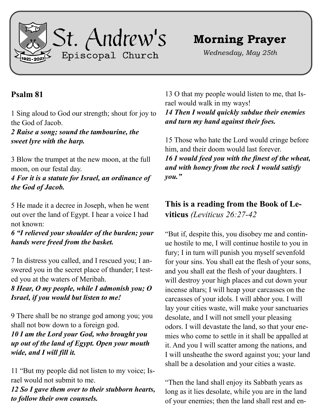

## **Morning Prayer**

*Wednesday, May 25th*

## **Psalm 81**

1 Sing aloud to God our strength; shout for joy to the God of Jacob.

*2 Raise a song; sound the tambourine, the sweet lyre with the harp.*

3 Blow the trumpet at the new moon, at the full moon, on our festal day.

*4 For it is a statute for Israel, an ordinance of the God of Jacob.*

5 He made it a decree in Joseph, when he went out over the land of Egypt. I hear a voice I had not known:

*6 "I relieved your shoulder of the burden; your hands were freed from the basket.*

7 In distress you called, and I rescued you; I answered you in the secret place of thunder; I tested you at the waters of Meribah.

*8 Hear, O my people, while I admonish you; O Israel, if you would but listen to me!*

9 There shall be no strange god among you; you shall not bow down to a foreign god.

*10 I am the Lord your God, who brought you up out of the land of Egypt. Open your mouth wide, and I will fill it.*

11 "But my people did not listen to my voice; Israel would not submit to me.

*12 So I gave them over to their stubborn hearts, to follow their own counsels.*

13 O that my people would listen to me, that Israel would walk in my ways!

*14 Then I would quickly subdue their enemies and turn my hand against their foes.*

15 Those who hate the Lord would cringe before him, and their doom would last forever. *16 I would feed you with the finest of the wheat, and with honey from the rock I would satisfy you."*

**This is a reading from the Book of Leviticus** *(Leviticus 26:27-42*

"But if, despite this, you disobey me and continue hostile to me, I will continue hostile to you in fury; I in turn will punish you myself sevenfold for your sins. You shall eat the flesh of your sons, and you shall eat the flesh of your daughters. I will destroy your high places and cut down your incense altars; I will heap your carcasses on the carcasses of your idols. I will abhor you. I will lay your cities waste, will make your sanctuaries desolate, and I will not smell your pleasing odors. I will devastate the land, so that your enemies who come to settle in it shall be appalled at it. And you I will scatter among the nations, and I will unsheathe the sword against you; your land shall be a desolation and your cities a waste.

"Then the land shall enjoy its Sabbath years as long as it lies desolate, while you are in the land of your enemies; then the land shall rest and en